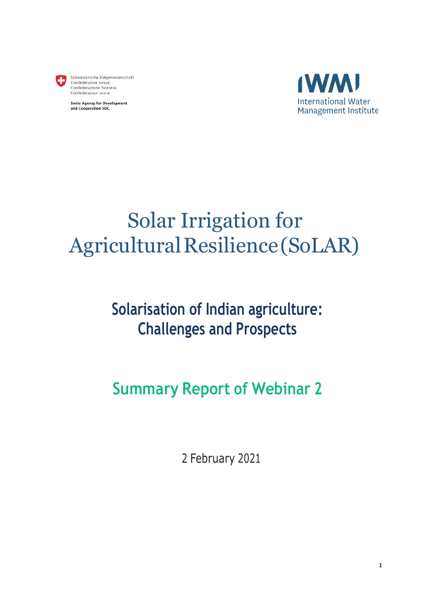

Schweizerische Eidgenossenschaft<br>Confédération suisse Confederazione Svizzera Confederaziun svizra

**Swiss Agency for Development** and Cooperation SDC



# Solar Irrigation for Agricultural Resilience (SoLAR)

## **Solarisation of Indian agriculture: Challenges and Prospects**

## **Summary Report of Webinar 2**

2 February 2021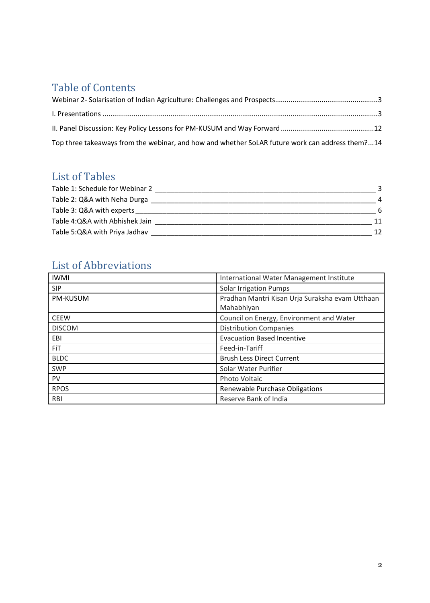### Table of Contents

| Top three takeaways from the webinar, and how and whether SoLAR future work can address them?14 |  |
|-------------------------------------------------------------------------------------------------|--|

### List of Tables

| Table 1: Schedule for Webinar 2 |    |
|---------------------------------|----|
| Table 2: Q&A with Neha Durga    |    |
| Table 3: Q&A with experts       | 6  |
| Table 4:Q&A with Abhishek Jain  | 11 |
| Table 5:Q&A with Priya Jadhav   | 12 |

## List of Abbreviations

| <b>IWMI</b>     | International Water Management Institute        |
|-----------------|-------------------------------------------------|
| <b>SIP</b>      | <b>Solar Irrigation Pumps</b>                   |
| <b>PM-KUSUM</b> | Pradhan Mantri Kisan Urja Suraksha evam Utthaan |
|                 | Mahabhiyan                                      |
| <b>CEEW</b>     | Council on Energy, Environment and Water        |
| <b>DISCOM</b>   | <b>Distribution Companies</b>                   |
| EBI             | <b>Evacuation Based Incentive</b>               |
| <b>FiT</b>      | Feed-in-Tariff                                  |
| <b>BLDC</b>     | <b>Brush Less Direct Current</b>                |
| <b>SWP</b>      | Solar Water Purifier                            |
| <b>PV</b>       | <b>Photo Voltaic</b>                            |
| <b>RPOS</b>     | Renewable Purchase Obligations                  |
| <b>RBI</b>      | Reserve Bank of India                           |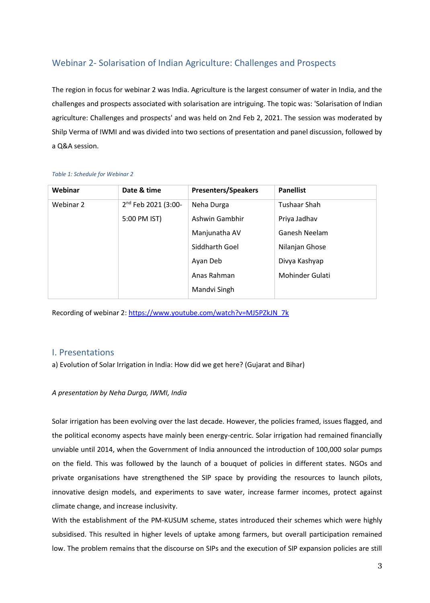#### <span id="page-2-0"></span>Webinar 2- Solarisation of Indian Agriculture: Challenges and Prospects

The region in focus for webinar 2 was India. Agriculture is the largest consumer of water in India, and the challenges and prospects associated with solarisation are intriguing. The topic was: 'Solarisation of Indian agriculture: Challenges and prospects' and was held on 2nd Feb 2, 2021. The session was moderated by Shilp Verma of IWMI and was divided into two sections of presentation and panel discussion, followed by a Q&A session.

#### <span id="page-2-2"></span>*Table 1: Schedule for Webinar 2*

| Date & time                     | <b>Presenters/Speakers</b> | <b>Panellist</b> |
|---------------------------------|----------------------------|------------------|
| 2 <sup>nd</sup> Feb 2021 (3:00- | Neha Durga                 | Tushaar Shah     |
| 5:00 PM IST)                    | Ashwin Gambhir             | Priya Jadhav     |
|                                 | Manjunatha AV              | Ganesh Neelam    |
|                                 | Siddharth Goel             | Nilanjan Ghose   |
|                                 | Ayan Deb                   | Divya Kashyap    |
|                                 | Anas Rahman                | Mohinder Gulati  |
|                                 | Mandvi Singh               |                  |
|                                 |                            |                  |

Recording of webinar 2: [https://www.youtube.com/watch?v=MJ5PZkJN\\_7k](https://www.youtube.com/watch?v=MJ5PZkJN_7k)

#### <span id="page-2-1"></span>I. Presentations

a) Evolution of Solar Irrigation in India: How did we get here? (Gujarat and Bihar)

#### *A presentation by Neha Durga, IWMI, India*

Solar irrigation has been evolving over the last decade. However, the policies framed, issues flagged, and the political economy aspects have mainly been energy-centric. Solar irrigation had remained financially unviable until 2014, when the Government of India announced the introduction of 100,000 solar pumps on the field. This was followed by the launch of a bouquet of policies in different states. NGOs and private organisations have strengthened the SIP space by providing the resources to launch pilots, innovative design models, and experiments to save water, increase farmer incomes, protect against climate change, and increase inclusivity.

With the establishment of the PM-KUSUM scheme, states introduced their schemes which were highly subsidised. This resulted in higher levels of uptake among farmers, but overall participation remained low. The problem remains that the discourse on SIPs and the execution of SIP expansion policies are still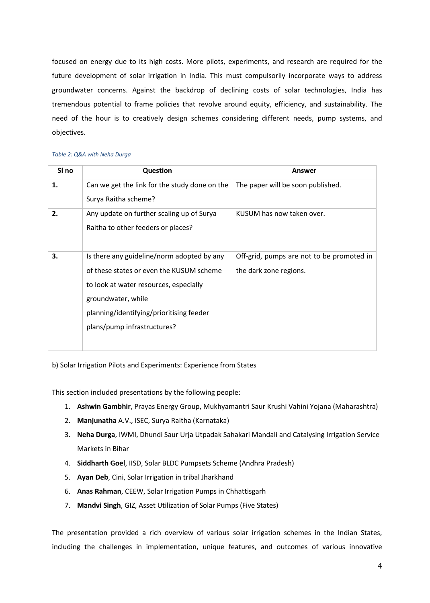focused on energy due to its high costs. More pilots, experiments, and research are required for the future development of solar irrigation in India. This must compulsorily incorporate ways to address groundwater concerns. Against the backdrop of declining costs of solar technologies, India has tremendous potential to frame policies that revolve around equity, efficiency, and sustainability. The need of the hour is to creatively design schemes considering different needs, pump systems, and objectives.

<span id="page-3-0"></span>

| SI no | <b>Question</b>                               | <b>Answer</b>                             |
|-------|-----------------------------------------------|-------------------------------------------|
| 1.    | Can we get the link for the study done on the | The paper will be soon published.         |
|       | Surya Raitha scheme?                          |                                           |
| 2.    | Any update on further scaling up of Surya     | KUSUM has now taken over.                 |
|       | Raitha to other feeders or places?            |                                           |
|       |                                               |                                           |
| 3.    | Is there any guideline/norm adopted by any    | Off-grid, pumps are not to be promoted in |
|       | of these states or even the KUSUM scheme      | the dark zone regions.                    |
|       | to look at water resources, especially        |                                           |
|       | groundwater, while                            |                                           |
|       | planning/identifying/prioritising feeder      |                                           |
|       | plans/pump infrastructures?                   |                                           |
|       |                                               |                                           |

b) Solar Irrigation Pilots and Experiments: Experience from States

This section included presentations by the following people:

- 1. **Ashwin Gambhir**, Prayas Energy Group, Mukhyamantri Saur Krushi Vahini Yojana (Maharashtra)
- 2. **Manjunatha** A.V., ISEC, Surya Raitha (Karnataka)
- 3. **Neha Durga**, IWMI, Dhundi Saur Urja Utpadak Sahakari Mandali and Catalysing Irrigation Service Markets in Bihar
- 4. **Siddharth Goel**, IISD, Solar BLDC Pumpsets Scheme (Andhra Pradesh)
- 5. **Ayan Deb**, Cini, Solar Irrigation in tribal Jharkhand
- 6. **Anas Rahman**, CEEW, Solar Irrigation Pumps in Chhattisgarh
- 7. **Mandvi Singh**, GIZ, Asset Utilization of Solar Pumps (Five States)

The presentation provided a rich overview of various solar irrigation schemes in the Indian States, including the challenges in implementation, unique features, and outcomes of various innovative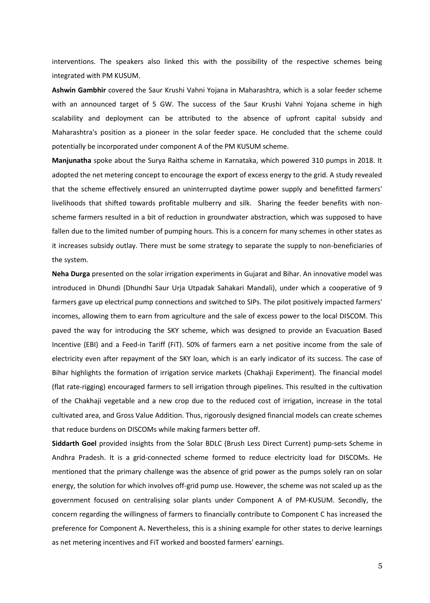interventions. The speakers also linked this with the possibility of the respective schemes being integrated with PM KUSUM.

**Ashwin Gambhir** covered the Saur Krushi Vahni Yojana in Maharashtra, which is a solar feeder scheme with an announced target of 5 GW. The success of the Saur Krushi Vahni Yojana scheme in high scalability and deployment can be attributed to the absence of upfront capital subsidy and Maharashtra's position as a pioneer in the solar feeder space. He concluded that the scheme could potentially be incorporated under component A of the PM KUSUM scheme.

**Manjunatha** spoke about the Surya Raitha scheme in Karnataka, which powered 310 pumps in 2018. It adopted the net metering concept to encourage the export of excess energy to the grid. A study revealed that the scheme effectively ensured an uninterrupted daytime power supply and benefitted farmers' livelihoods that shifted towards profitable mulberry and silk. Sharing the feeder benefits with nonscheme farmers resulted in a bit of reduction in groundwater abstraction, which was supposed to have fallen due to the limited number of pumping hours. This is a concern for many schemes in other states as it increases subsidy outlay. There must be some strategy to separate the supply to non-beneficiaries of the system.

**Neha Durga** presented on the solar irrigation experiments in Gujarat and Bihar. An innovative model was introduced in Dhundi (Dhundhi Saur Urja Utpadak Sahakari Mandali), under which a cooperative of 9 farmers gave up electrical pump connections and switched to SIPs. The pilot positively impacted farmers' incomes, allowing them to earn from agriculture and the sale of excess power to the local DISCOM. This paved the way for introducing the SKY scheme, which was designed to provide an Evacuation Based Incentive (EBI) and a Feed-in Tariff (FiT). 50% of farmers earn a net positive income from the sale of electricity even after repayment of the SKY loan, which is an early indicator of its success. The case of Bihar highlights the formation of irrigation service markets (Chakhaji Experiment). The financial model (flat rate-rigging) encouraged farmers to sell irrigation through pipelines. This resulted in the cultivation of the Chakhaji vegetable and a new crop due to the reduced cost of irrigation, increase in the total cultivated area, and Gross Value Addition. Thus, rigorously designed financial models can create schemes that reduce burdens on DISCOMs while making farmers better off.

**Siddarth Goel** provided insights from the Solar BDLC (Brush Less Direct Current) pump-sets Scheme in Andhra Pradesh. It is a grid-connected scheme formed to reduce electricity load for DISCOMs. He mentioned that the primary challenge was the absence of grid power as the pumps solely ran on solar energy, the solution for which involves off-grid pump use. However, the scheme was not scaled up as the government focused on centralising solar plants under Component A of PM-KUSUM. Secondly, the concern regarding the willingness of farmers to financially contribute to Component C has increased the preference for Component A**.** Nevertheless, this is a shining example for other states to derive learnings as net metering incentives and FiT worked and boosted farmers' earnings.

5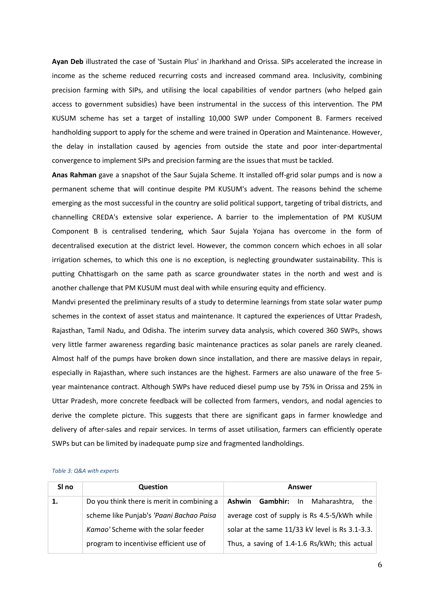**Ayan Deb** illustrated the case of 'Sustain Plus' in Jharkhand and Orissa. SIPs accelerated the increase in income as the scheme reduced recurring costs and increased command area. Inclusivity, combining precision farming with SIPs, and utilising the local capabilities of vendor partners (who helped gain access to government subsidies) have been instrumental in the success of this intervention. The PM KUSUM scheme has set a target of installing 10,000 SWP under Component B. Farmers received handholding support to apply for the scheme and were trained in Operation and Maintenance. However, the delay in installation caused by agencies from outside the state and poor inter-departmental convergence to implement SIPs and precision farming are the issues that must be tackled.

**Anas Rahman** gave a snapshot of the Saur Sujala Scheme. It installed off-grid solar pumps and is now a permanent scheme that will continue despite PM KUSUM's advent. The reasons behind the scheme emerging as the most successful in the country are solid political support, targeting of tribal districts, and channelling CREDA's extensive solar experience**.** A barrier to the implementation of PM KUSUM Component B is centralised tendering, which Saur Sujala Yojana has overcome in the form of decentralised execution at the district level. However, the common concern which echoes in all solar irrigation schemes, to which this one is no exception, is neglecting groundwater sustainability. This is putting Chhattisgarh on the same path as scarce groundwater states in the north and west and is another challenge that PM KUSUM must deal with while ensuring equity and efficiency.

Mandvi presented the preliminary results of a study to determine learnings from state solar water pump schemes in the context of asset status and maintenance. It captured the experiences of Uttar Pradesh, Rajasthan, Tamil Nadu, and Odisha. The interim survey data analysis, which covered 360 SWPs, shows very little farmer awareness regarding basic maintenance practices as solar panels are rarely cleaned. Almost half of the pumps have broken down since installation, and there are massive delays in repair, especially in Rajasthan, where such instances are the highest. Farmers are also unaware of the free 5 year maintenance contract. Although SWPs have reduced diesel pump use by 75% in Orissa and 25% in Uttar Pradesh, more concrete feedback will be collected from farmers, vendors, and nodal agencies to derive the complete picture. This suggests that there are significant gaps in farmer knowledge and delivery of after-sales and repair services. In terms of asset utilisation, farmers can efficiently operate SWPs but can be limited by inadequate pump size and fragmented landholdings.

| SI no | <b>Question</b>                            | Answer                                          |
|-------|--------------------------------------------|-------------------------------------------------|
|       | Do you think there is merit in combining a | Ashwin Gambhir: In<br>Maharashtra,<br>the       |
|       | scheme like Punjab's 'Paani Bachao Paisa   | average cost of supply is Rs 4.5-5/kWh while    |
|       | Kamao' Scheme with the solar feeder        | solar at the same 11/33 kV level is Rs 3.1-3.3. |
|       | program to incentivise efficient use of    | Thus, a saving of 1.4-1.6 Rs/kWh; this actual   |

#### <span id="page-5-0"></span>*Table 3: Q&A with experts*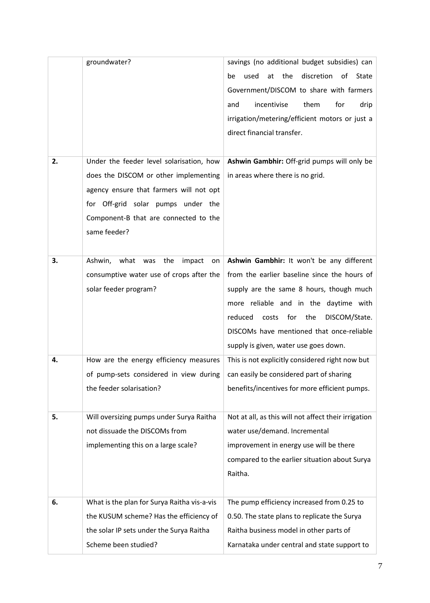| 2. | groundwater?<br>Under the feeder level solarisation, how                                                                                                                        | savings (no additional budget subsidies) can<br>discretion<br>the<br>of<br>State<br>used<br>at<br>be<br>Government/DISCOM to share with farmers<br>incentivise<br>them<br>for<br>and<br>drip<br>irrigation/metering/efficient motors or just a<br>direct financial transfer.<br>Ashwin Gambhir: Off-grid pumps will only be |
|----|---------------------------------------------------------------------------------------------------------------------------------------------------------------------------------|-----------------------------------------------------------------------------------------------------------------------------------------------------------------------------------------------------------------------------------------------------------------------------------------------------------------------------|
|    | does the DISCOM or other implementing<br>agency ensure that farmers will not opt<br>for Off-grid solar pumps under the<br>Component-B that are connected to the<br>same feeder? | in areas where there is no grid.                                                                                                                                                                                                                                                                                            |
| 3. | Ashwin,<br>what<br>the<br>impact<br>was<br>on<br>consumptive water use of crops after the<br>solar feeder program?                                                              | Ashwin Gambhir: It won't be any different<br>from the earlier baseline since the hours of<br>supply are the same 8 hours, though much<br>more reliable and in the daytime with<br>reduced<br>for<br>the<br>DISCOM/State.<br>costs<br>DISCOMs have mentioned that once-reliable<br>supply is given, water use goes down.     |
| 4. | How are the energy efficiency measures<br>of pump-sets considered in view during<br>the feeder solarisation?                                                                    | This is not explicitly considered right now but<br>can easily be considered part of sharing<br>benefits/incentives for more efficient pumps.                                                                                                                                                                                |
| 5. | Will oversizing pumps under Surya Raitha<br>not dissuade the DISCOMs from<br>implementing this on a large scale?                                                                | Not at all, as this will not affect their irrigation<br>water use/demand. Incremental<br>improvement in energy use will be there<br>compared to the earlier situation about Surya<br>Raitha.                                                                                                                                |
| 6. | What is the plan for Surya Raitha vis-a-vis<br>the KUSUM scheme? Has the efficiency of<br>the solar IP sets under the Surya Raitha<br>Scheme been studied?                      | The pump efficiency increased from 0.25 to<br>0.50. The state plans to replicate the Surya<br>Raitha business model in other parts of<br>Karnataka under central and state support to                                                                                                                                       |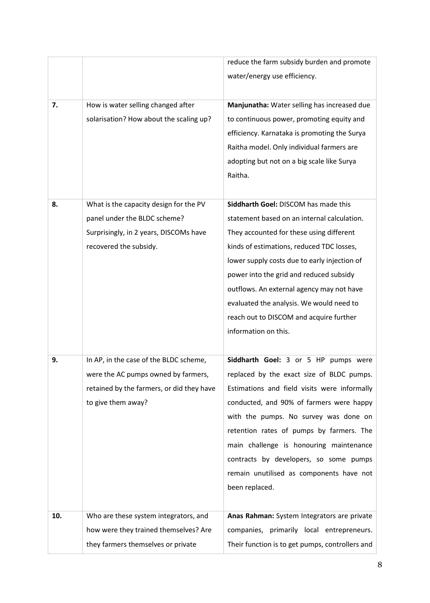|     |                                           | reduce the farm subsidy burden and promote      |
|-----|-------------------------------------------|-------------------------------------------------|
|     |                                           | water/energy use efficiency.                    |
|     |                                           |                                                 |
| 7.  | How is water selling changed after        | Manjunatha: Water selling has increased due     |
|     | solarisation? How about the scaling up?   | to continuous power, promoting equity and       |
|     |                                           | efficiency. Karnataka is promoting the Surya    |
|     |                                           | Raitha model. Only individual farmers are       |
|     |                                           | adopting but not on a big scale like Surya      |
|     |                                           | Raitha.                                         |
|     |                                           |                                                 |
| 8.  | What is the capacity design for the PV    | Siddharth Goel: DISCOM has made this            |
|     | panel under the BLDC scheme?              | statement based on an internal calculation.     |
|     | Surprisingly, in 2 years, DISCOMs have    | They accounted for these using different        |
|     | recovered the subsidy.                    | kinds of estimations, reduced TDC losses,       |
|     |                                           | lower supply costs due to early injection of    |
|     |                                           | power into the grid and reduced subsidy         |
|     |                                           | outflows. An external agency may not have       |
|     |                                           | evaluated the analysis. We would need to        |
|     |                                           | reach out to DISCOM and acquire further         |
|     |                                           | information on this.                            |
|     |                                           |                                                 |
| 9.  | In AP, in the case of the BLDC scheme,    | Siddharth Goel: 3 or 5 HP<br>pumps were         |
|     | were the AC pumps owned by farmers,       | replaced by the exact size of BLDC pumps.       |
|     | retained by the farmers, or did they have | Estimations and field visits were informally    |
|     | to give them away?                        | conducted, and 90% of farmers were happy        |
|     |                                           | with the pumps. No survey was done on           |
|     |                                           | retention rates of pumps by farmers. The        |
|     |                                           | main challenge is honouring maintenance         |
|     |                                           | contracts by developers, so some pumps          |
|     |                                           | remain unutilised as components have not        |
|     |                                           | been replaced.                                  |
|     |                                           |                                                 |
| 10. | Who are these system integrators, and     | Anas Rahman: System Integrators are private     |
|     | how were they trained themselves? Are     | companies, primarily local entrepreneurs.       |
|     | they farmers themselves or private        | Their function is to get pumps, controllers and |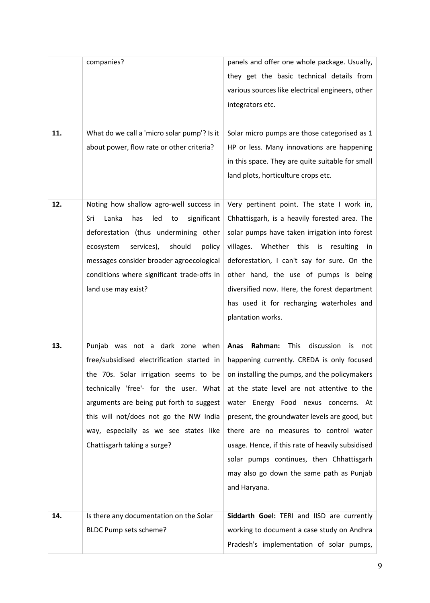| 11. | companies?<br>What do we call a 'micro solar pump'? Is it                                                                                                                                                                                                                                                                               | panels and offer one whole package. Usually,<br>they get the basic technical details from<br>various sources like electrical engineers, other<br>integrators etc.<br>Solar micro pumps are those categorised as 1                                                                                                                                                                                                                                                                                      |
|-----|-----------------------------------------------------------------------------------------------------------------------------------------------------------------------------------------------------------------------------------------------------------------------------------------------------------------------------------------|--------------------------------------------------------------------------------------------------------------------------------------------------------------------------------------------------------------------------------------------------------------------------------------------------------------------------------------------------------------------------------------------------------------------------------------------------------------------------------------------------------|
|     | about power, flow rate or other criteria?                                                                                                                                                                                                                                                                                               | HP or less. Many innovations are happening<br>in this space. They are quite suitable for small<br>land plots, horticulture crops etc.                                                                                                                                                                                                                                                                                                                                                                  |
| 12. | Noting how shallow agro-well success in<br>Lanka<br>significant<br>Sri<br>has<br>led<br>to<br>deforestation (thus undermining other<br>services),<br>should<br>policy<br>ecosystem<br>messages consider broader agroecological<br>conditions where significant trade-offs in<br>land use may exist?                                     | Very pertinent point. The state I work in,<br>Chhattisgarh, is a heavily forested area. The<br>solar pumps have taken irrigation into forest<br>Whether this<br>villages.<br>is<br>resulting<br>in.<br>deforestation, I can't say for sure. On the<br>other hand, the use of pumps is being<br>diversified now. Here, the forest department<br>has used it for recharging waterholes and<br>plantation works.                                                                                          |
| 13. | Punjab<br>dark zone when<br>was<br>not a<br>free/subsidised electrification started in<br>the 70s. Solar irrigation seems to be<br>technically 'free'- for the user. What<br>arguments are being put forth to suggest<br>this will not/does not go the NW India<br>way, especially as we see states like<br>Chattisgarh taking a surge? | Rahman:<br><b>This</b><br>discussion<br>Anas<br>is<br>not<br>happening currently. CREDA is only focused<br>on installing the pumps, and the policymakers<br>at the state level are not attentive to the<br>water Energy Food nexus concerns. At<br>present, the groundwater levels are good, but<br>there are no measures to control water<br>usage. Hence, if this rate of heavily subsidised<br>solar pumps continues, then Chhattisgarh<br>may also go down the same path as Punjab<br>and Haryana. |
| 14. | Is there any documentation on the Solar<br>BLDC Pump sets scheme?                                                                                                                                                                                                                                                                       | Siddarth Goel: TERI and IISD are currently<br>working to document a case study on Andhra<br>Pradesh's implementation of solar pumps,                                                                                                                                                                                                                                                                                                                                                                   |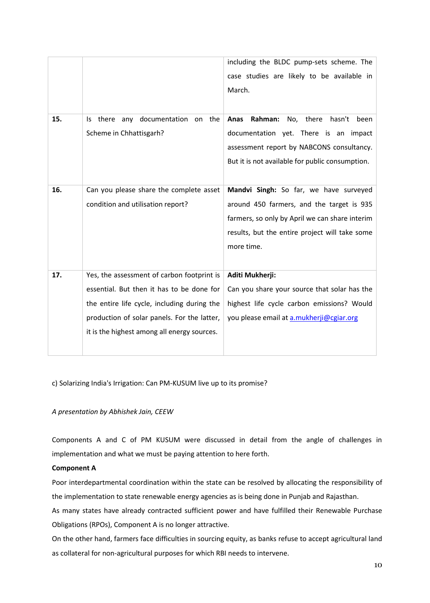|     |                                                                                                                                                                                                                                      | including the BLDC pump-sets scheme. The<br>case studies are likely to be available in<br>March.                                                                                                      |
|-----|--------------------------------------------------------------------------------------------------------------------------------------------------------------------------------------------------------------------------------------|-------------------------------------------------------------------------------------------------------------------------------------------------------------------------------------------------------|
| 15. | there<br>any documentation<br>the<br>on<br>ls.<br>Scheme in Chhattisgarh?                                                                                                                                                            | Rahman:<br>No, there<br>hasn't<br>Anas<br>been<br>documentation yet. There is an impact<br>assessment report by NABCONS consultancy.<br>But it is not available for public consumption.               |
| 16. | Can you please share the complete asset<br>condition and utilisation report?                                                                                                                                                         | Mandvi Singh: So far, we have surveyed<br>around 450 farmers, and the target is 935<br>farmers, so only by April we can share interim<br>results, but the entire project will take some<br>more time. |
| 17. | Yes, the assessment of carbon footprint is<br>essential. But then it has to be done for<br>the entire life cycle, including during the<br>production of solar panels. For the latter,<br>it is the highest among all energy sources. | Aditi Mukherji:<br>Can you share your source that solar has the<br>highest life cycle carbon emissions? Would<br>you please email at a.mukherji@cgiar.org                                             |

c) Solarizing India's Irrigation: Can PM-KUSUM live up to its promise?

#### *A presentation by Abhishek Jain, CEEW*

Components A and C of PM KUSUM were discussed in detail from the angle of challenges in implementation and what we must be paying attention to here forth.

#### **Component A**

Poor interdepartmental coordination within the state can be resolved by allocating the responsibility of the implementation to state renewable energy agencies as is being done in Punjab and Rajasthan.

As many states have already contracted sufficient power and have fulfilled their Renewable Purchase Obligations (RPOs), Component A is no longer attractive.

On the other hand, farmers face difficulties in sourcing equity, as banks refuse to accept agricultural land as collateral for non-agricultural purposes for which RBI needs to intervene.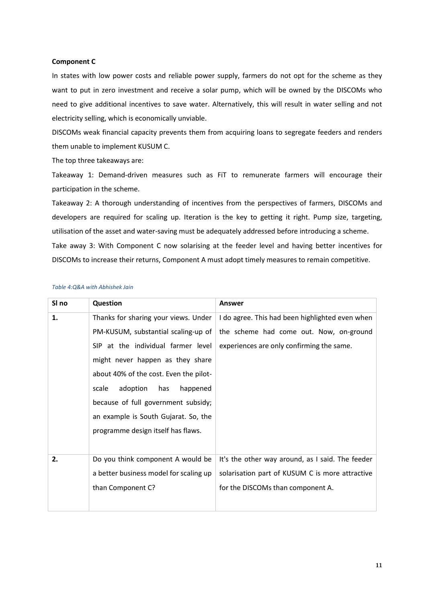#### **Component C**

In states with low power costs and reliable power supply, farmers do not opt for the scheme as they want to put in zero investment and receive a solar pump, which will be owned by the DISCOMs who need to give additional incentives to save water. Alternatively, this will result in water selling and not electricity selling, which is economically unviable.

DISCOMs weak financial capacity prevents them from acquiring loans to segregate feeders and renders them unable to implement KUSUM C.

The top three takeaways are:

Takeaway 1: Demand-driven measures such as FiT to remunerate farmers will encourage their participation in the scheme.

Takeaway 2: A thorough understanding of incentives from the perspectives of farmers, DISCOMs and developers are required for scaling up. Iteration is the key to getting it right. Pump size, targeting, utilisation of the asset and water-saving must be adequately addressed before introducing a scheme. Take away 3: With Component C now solarising at the feeder level and having better incentives for DISCOMs to increase their returns, Component A must adopt timely measures to remain competitive.

| SI no | Question                               | <b>Answer</b>                                    |
|-------|----------------------------------------|--------------------------------------------------|
| 1.    | Thanks for sharing your views. Under   | I do agree. This had been highlighted even when  |
|       | PM-KUSUM, substantial scaling-up of    | the scheme had come out. Now, on-ground          |
|       | SIP at the individual farmer level     | experiences are only confirming the same.        |
|       | might never happen as they share       |                                                  |
|       | about 40% of the cost. Even the pilot- |                                                  |
|       | adoption<br>has<br>scale<br>happened   |                                                  |
|       | because of full government subsidy;    |                                                  |
|       | an example is South Gujarat. So, the   |                                                  |
|       | programme design itself has flaws.     |                                                  |
|       |                                        |                                                  |
| 2.    | Do you think component A would be      | It's the other way around, as I said. The feeder |
|       | a better business model for scaling up | solarisation part of KUSUM C is more attractive  |
|       | than Component C?                      | for the DISCOMs than component A.                |
|       |                                        |                                                  |

#### <span id="page-10-0"></span>*Table 4:Q&A with Abhishek Jain*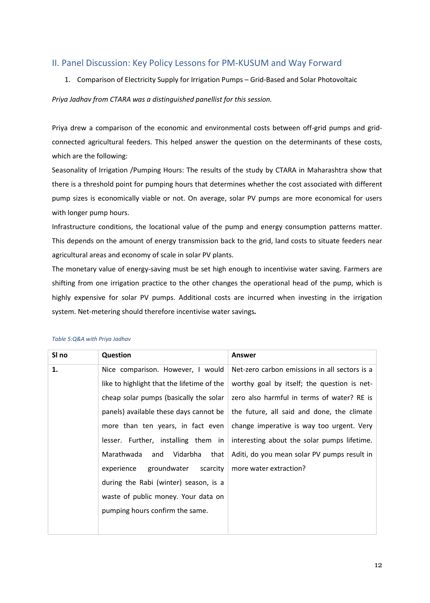#### <span id="page-11-0"></span>II. Panel Discussion: Key Policy Lessons for PM-KUSUM and Way Forward

#### 1. Comparison of Electricity Supply for Irrigation Pumps – Grid-Based and Solar Photovoltaic

#### *Priya Jadhav from CTARA was a distinguished panellist for this session.*

Priya drew a comparison of the economic and environmental costs between off-grid pumps and gridconnected agricultural feeders. This helped answer the question on the determinants of these costs, which are the following:

Seasonality of Irrigation /Pumping Hours: The results of the study by CTARA in Maharashtra show that there is a threshold point for pumping hours that determines whether the cost associated with different pump sizes is economically viable or not. On average, solar PV pumps are more economical for users with longer pump hours.

Infrastructure conditions, the locational value of the pump and energy consumption patterns matter. This depends on the amount of energy transmission back to the grid, land costs to situate feeders near agricultural areas and economy of scale in solar PV plants.

The monetary value of energy-saving must be set high enough to incentivise water saving. Farmers are shifting from one irrigation practice to the other changes the operational head of the pump, which is highly expensive for solar PV pumps. Additional costs are incurred when investing in the irrigation system. Net-metering should therefore incentivise water savings*.* 

| SI no | Question                                   | <b>Answer</b>                                 |
|-------|--------------------------------------------|-----------------------------------------------|
| 1.    | Nice comparison. However, I would          | Net-zero carbon emissions in all sectors is a |
|       | like to highlight that the lifetime of the | worthy goal by itself; the question is net-   |
|       | cheap solar pumps (basically the solar     | zero also harmful in terms of water? RE is    |
|       | panels) available these days cannot be     | the future, all said and done, the climate    |
|       | more than ten years, in fact even          | change imperative is way too urgent. Very     |
|       | lesser. Further, installing them in        | interesting about the solar pumps lifetime.   |
|       | Marathwada<br>Vidarbha<br>that<br>and      | Aditi, do you mean solar PV pumps result in   |
|       | groundwater<br>scarcity<br>experience      | more water extraction?                        |
|       | during the Rabi (winter) season, is a      |                                               |
|       | waste of public money. Your data on        |                                               |
|       | pumping hours confirm the same.            |                                               |
|       |                                            |                                               |

#### <span id="page-11-1"></span>*Table 5:Q&A with Priya Jadhav*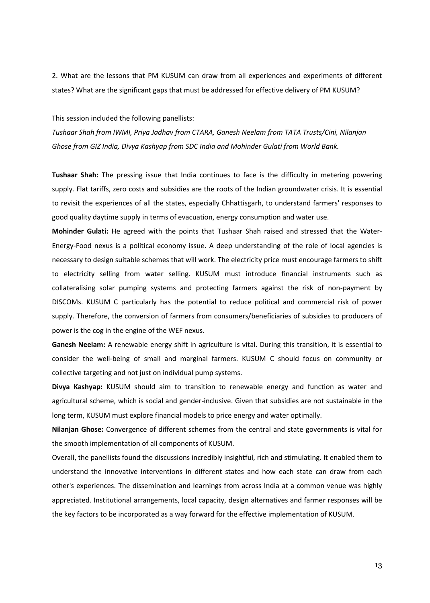2. What are the lessons that PM KUSUM can draw from all experiences and experiments of different states? What are the significant gaps that must be addressed for effective delivery of PM KUSUM?

This session included the following panellists:

*Tushaar Shah from IWMI, Priya Jadhav from CTARA, Ganesh Neelam from TATA Trusts/Cini, Nilanjan Ghose from GIZ India, Divya Kashyap from SDC India and Mohinder Gulati from World Bank.*

**Tushaar Shah:** The pressing issue that India continues to face is the difficulty in metering powering supply. Flat tariffs, zero costs and subsidies are the roots of the Indian groundwater crisis. It is essential to revisit the experiences of all the states, especially Chhattisgarh, to understand farmers' responses to good quality daytime supply in terms of evacuation, energy consumption and water use.

**Mohinder Gulati:** He agreed with the points that Tushaar Shah raised and stressed that the Water-Energy-Food nexus is a political economy issue. A deep understanding of the role of local agencies is necessary to design suitable schemes that will work. The electricity price must encourage farmers to shift to electricity selling from water selling. KUSUM must introduce financial instruments such as collateralising solar pumping systems and protecting farmers against the risk of non-payment by DISCOMs. KUSUM C particularly has the potential to reduce political and commercial risk of power supply. Therefore, the conversion of farmers from consumers/beneficiaries of subsidies to producers of power is the cog in the engine of the WEF nexus.

**Ganesh Neelam:** A renewable energy shift in agriculture is vital. During this transition, it is essential to consider the well-being of small and marginal farmers. KUSUM C should focus on community or collective targeting and not just on individual pump systems.

**Divya Kashyap:** KUSUM should aim to transition to renewable energy and function as water and agricultural scheme, which is social and gender-inclusive. Given that subsidies are not sustainable in the long term, KUSUM must explore financial models to price energy and water optimally.

**Nilanjan Ghose:** Convergence of different schemes from the central and state governments is vital for the smooth implementation of all components of KUSUM.

Overall, the panellists found the discussions incredibly insightful, rich and stimulating. It enabled them to understand the innovative interventions in different states and how each state can draw from each other's experiences. The dissemination and learnings from across India at a common venue was highly appreciated. Institutional arrangements, local capacity, design alternatives and farmer responses will be the key factors to be incorporated as a way forward for the effective implementation of KUSUM.